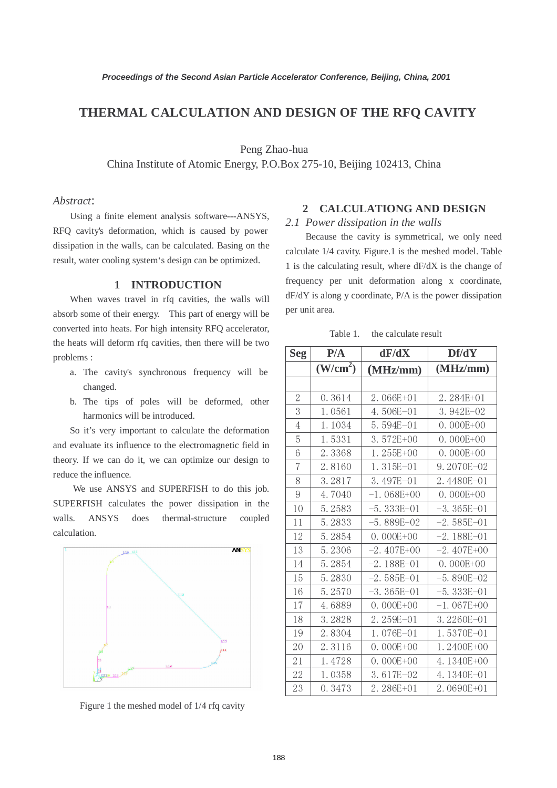## **THERMAL CALCULATION AND DESIGN OF THE RFQ CAVITY**

Peng Zhao-hua

China Institute of Atomic Energy, P.O.Box 275-10, Beijing 102413, China

## *Abstract*:

Using a finite element analysis software---ANSYS, RFQ cavity's deformation, which is caused by power dissipation in the walls, can be calculated. Basing on the result, water cooling system's design can be optimized.

## **1 INTRODUCTION**

When waves travel in rfq cavities, the walls will absorb some of their energy. This part of energy will be converted into heats. For high intensity RFQ accelerator, the heats will deform rfq cavities, then there will be two problems :

- a. The cavity's synchronous frequency will be changed.
- b. The tips of poles will be deformed, other harmonics will be introduced.

So it's very important to calculate the deformation and evaluate its influence to the electromagnetic field in theory. If we can do it, we can optimize our design to reduce the influence.

We use ANSYS and SUPERFISH to do this job. SUPERFISH calculates the power dissipation in the walls. ANSYS does thermal-structure coupled calculation.



Figure 1 the meshed model of 1/4 rfq cavity

# **2 CALCULATIONG AND DESIGN**

#### *2.1 Power dissipation in the walls*

Because the cavity is symmetrical, we only need calculate 1/4 cavity. Figure.1 is the meshed model. Table 1 is the calculating result, where dF/dX is the change of frequency per unit deformation along x coordinate, dF/dY is along y coordinate, P/A is the power dissipation per unit area.

Table 1. the calculate result

| <b>Seg</b>     | P/A                  | dF/dX          | Df/dY          |
|----------------|----------------------|----------------|----------------|
|                | (W/cm <sup>2</sup> ) | (MHz/mm)       | (MHz/mm)       |
|                |                      |                |                |
| $\overline{2}$ | 0.3614               | 2.066E+01      | 2.284E+01      |
| 3              | 1.0561               | 4.506E-01      | 3.942E-02      |
| $\overline{4}$ | 1.1034               | 5.594E-01      | $0.000E + 00$  |
| 5              | 1.5331               | 3.572E+00      | $0.000E + 00$  |
| 6              | 2.3368               | 1.255E+00      | $0.000E + 00$  |
| $\overline{7}$ | 2.8160               | $1.315E - 01$  | 9.2070E-02     |
| 8              | 3.2817               | 3.497E-01      | 2.4480E-01     |
| 9              | 4.7040               | $-1.068E+00$   | $0.000E + 00$  |
| 10             | 5.2583               | $-5.333E - 01$ | $-3.365E - 01$ |
| 11             | 5.2833               | $-5.889E - 02$ | $-2.585E-01$   |
| 12             | 5.2854               | $0.000E + 00$  | $-2.188E - 01$ |
| 13             | 5.2306               | $-2.407E+00$   | $-2.407E+00$   |
| 14             | 5.2854               | $-2.188E - 01$ | $0.000E+00$    |
| 15             | 5.2830               | $-2.585E-01$   | $-5.890E - 02$ |
| 16             | 5.2570               | $-3.365E - 01$ | $-5.333E - 01$ |
| 17             | 4.6889               | $0.000E + 00$  | $-1.067E+00$   |
| 18             | 3.2828               | 2.259E-01      | 3.2260E-01     |
| 19             | 2.8304               | 1.076E-01      | 1.5370E-01     |
| 20             | 2.3116               | $0.000E + 00$  | 1.2400E+00     |
| 21             | 1.4728               | $0.000E + 00$  | 4.1340E+00     |
| 22             | 1.0358               | 3.617E-02      | 4.1340E-01     |
| 23             | 0.3473               | 2.286E+01      | 2.0690E+01     |